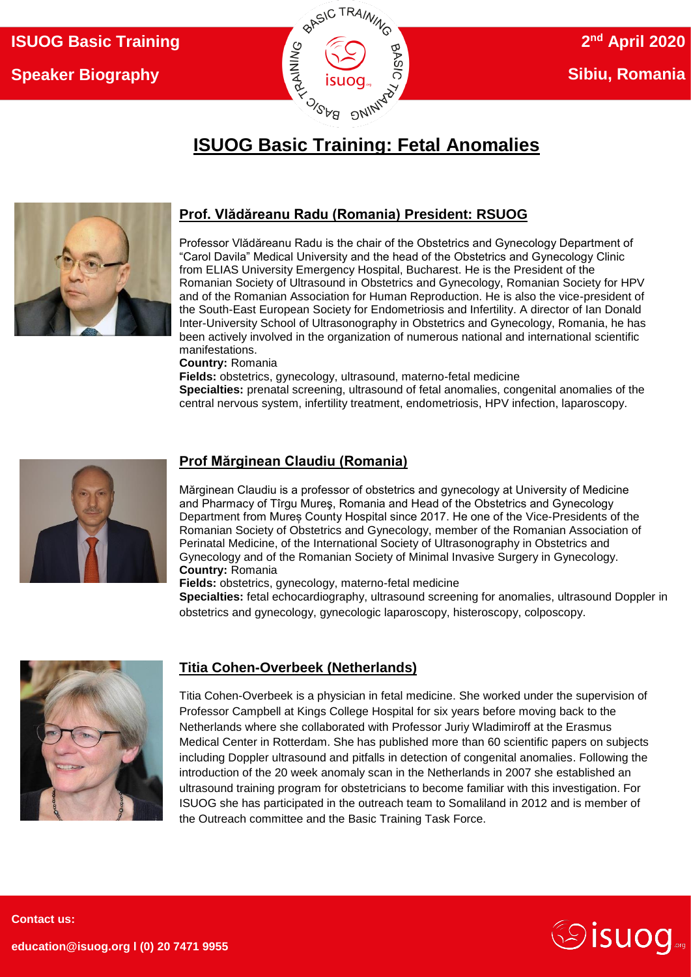

# **ISUOG Basic Training: Fetal Anomalies**



### **Prof. Vlădăreanu Radu (Romania) President: RSUOG**

Professor Vlădăreanu Radu is the chair of the Obstetrics and Gynecology Department of "Carol Davila" Medical University and the head of the Obstetrics and Gynecology Clinic from ELIAS University Emergency Hospital, Bucharest. He is the President of the Romanian Society of Ultrasound in Obstetrics and Gynecology, Romanian Society for HPV and of the Romanian Association for Human Reproduction. He is also the vice-president of the South-East European Society for Endometriosis and Infertility. A director of Ian Donald Inter-University School of Ultrasonography in Obstetrics and Gynecology, Romania, he has been actively involved in the organization of numerous national and international scientific manifestations.

**Country:** Romania

**Fields:** obstetrics, gynecology, ultrasound, materno-fetal medicine **Specialties:** prenatal screening, ultrasound of fetal anomalies, congenital anomalies of the central nervous system, infertility treatment, endometriosis, HPV infection, laparoscopy.



#### **Prof Mărginean Claudiu (Romania)**

Mărginean Claudiu is a professor of obstetrics and gynecology at University of Medicine and Pharmacy of Tîrgu Mureş, Romania and Head of the Obstetrics and Gynecology Department from Mureș County Hospital since 2017. He one of the Vice-Presidents of the Romanian Society of Obstetrics and Gynecology, member of the Romanian Association of Perinatal Medicine, of the International Society of Ultrasonography in Obstetrics and Gynecology and of the Romanian Society of Minimal Invasive Surgery in Gynecology. **Country:** Romania

**Fields:** obstetrics, gynecology, materno-fetal medicine

**Specialties:** fetal echocardiography, ultrasound screening for anomalies, ultrasound Doppler in obstetrics and gynecology, gynecologic laparoscopy, histeroscopy, colposcopy.



#### **Titia Cohen-Overbeek (Netherlands)**

Titia Cohen-Overbeek is a physician in fetal medicine. She worked under the supervision of Professor Campbell at Kings College Hospital for six years before moving back to the Netherlands where she collaborated with Professor Juriy Wladimiroff at the Erasmus Medical Center in Rotterdam. She has published more than 60 scientific papers on subjects including Doppler ultrasound and pitfalls in detection of congenital anomalies. Following the introduction of the 20 week anomaly scan in the Netherlands in 2007 she established an ultrasound training program for obstetricians to become familiar with this investigation. For ISUOG she has participated in the outreach team to Somaliland in 2012 and is member of the Outreach committee and the Basic Training Task Force.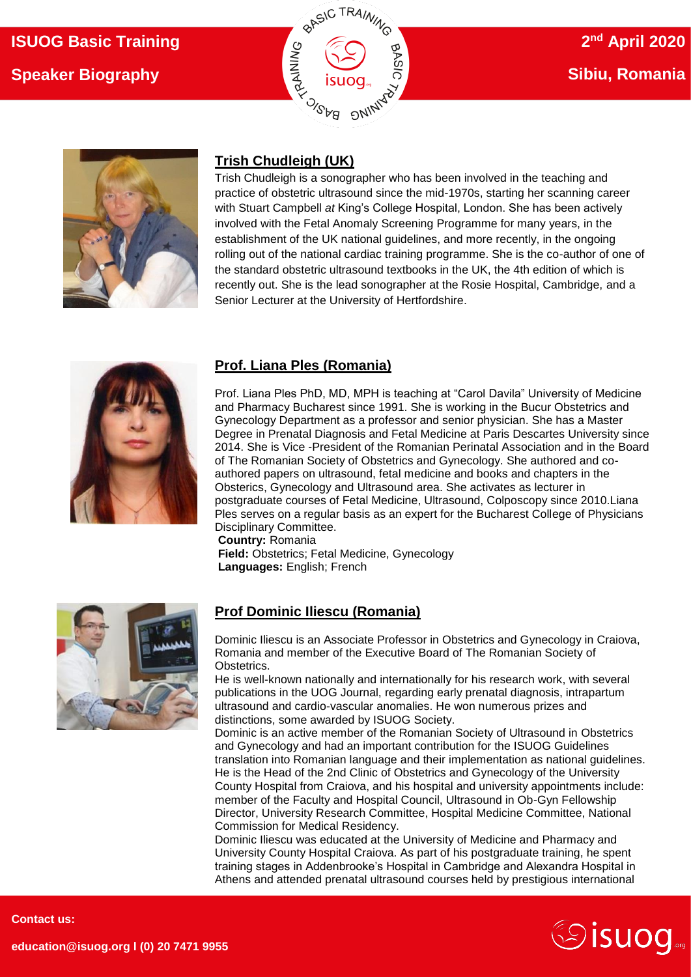# **ISUOG Basic Training Speaker Biography**





## **Trish Chudleigh (UK)**

Trish Chudleigh is a sonographer who has been involved in the teaching and practice of obstetric ultrasound since the mid-1970s, starting her scanning career with Stuart Campbell *at* King's College Hospital, London. She has been actively involved with the Fetal Anomaly Screening Programme for many years, in the establishment of the UK national guidelines, and more recently, in the ongoing rolling out of the national cardiac training programme. She is the co-author of one of the standard obstetric ultrasound textbooks in the UK, the 4th edition of which is recently out. She is the lead sonographer at the Rosie Hospital, Cambridge, and a Senior Lecturer at the University of Hertfordshire.



## **Prof. Liana Ples (Romania)**

Prof. Liana Ples PhD, MD, MPH is teaching at "Carol Davila" University of Medicine and Pharmacy Bucharest since 1991. She is working in the Bucur Obstetrics and Gynecology Department as a professor and senior physician. She has a Master Degree in Prenatal Diagnosis and Fetal Medicine at Paris Descartes University since 2014. She is Vice -President of the Romanian Perinatal Association and in the Board of The Romanian Society of Obstetrics and Gynecology. She authored and coauthored papers on ultrasound, fetal medicine and books and chapters in the Obsterics, Gynecology and Ultrasound area. She activates as lecturer in postgraduate courses of Fetal Medicine, Ultrasound, Colposcopy since 2010.Liana Ples serves on a regular basis as an expert for the Bucharest College of Physicians Disciplinary Committee. **Country:** Romania

**Field:** Obstetrics; Fetal Medicine, Gynecology **Languages:** English; French



### **Prof Dominic Iliescu (Romania)**

Dominic Iliescu is an Associate Professor in Obstetrics and Gynecology in Craiova, Romania and member of the Executive Board of The Romanian Society of Obstetrics.

He is well-known nationally and internationally for his research work, with several publications in the UOG Journal, regarding early prenatal diagnosis, intrapartum ultrasound and cardio-vascular anomalies. He won numerous prizes and distinctions, some awarded by ISUOG Society.

Dominic is an active member of the Romanian Society of Ultrasound in Obstetrics and Gynecology and had an important contribution for the ISUOG Guidelines translation into Romanian language and their implementation as national guidelines. He is the Head of the 2nd Clinic of Obstetrics and Gynecology of the University County Hospital from Craiova, and his hospital and university appointments include: member of the Faculty and Hospital Council, Ultrasound in Ob-Gyn Fellowship Director, University Research Committee, Hospital Medicine Committee, National Commission for Medical Residency.

Dominic Iliescu was educated at the University of Medicine and Pharmacy and University County Hospital Craiova. As part of his postgraduate training, he spent training stages in Addenbrooke's Hospital in Cambridge and Alexandra Hospital in Athens and attended prenatal ultrasound courses held by prestigious international



**Contact us:** 

**education@isuog.org l (0) 20 7471 9955**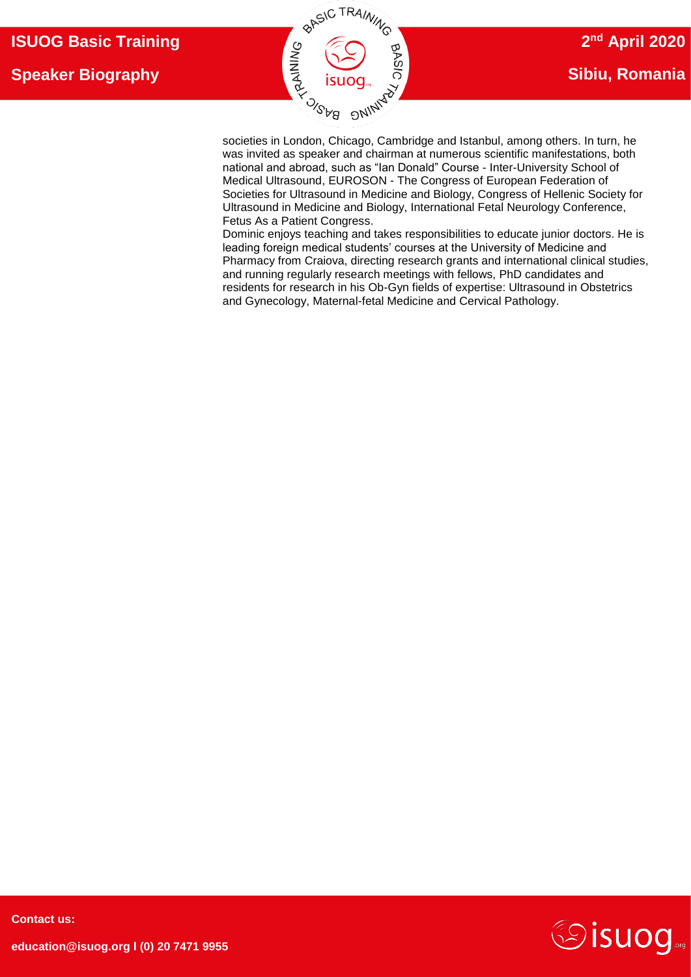

was invited as speaker and chairman at numerous scientific manifestations, both national and abroad, such as "Ian Donald" Course - Inter-University School of Medical Ultrasound, EUROSON - The Congress of European Federation of Societies for Ultrasound in Medicine and Biology, Congress of Hellenic Society for Ultrasound in Medicine and Biology, International Fetal Neurology Conference, Fetus As a Patient Congress.

Dominic enjoys teaching and takes responsibilities to educate junior doctors. He is leading foreign medical students' courses at the University of Medicine and Pharmacy from Craiova, directing research grants and international clinical studies, and running regularly research meetings with fellows, PhD candidates and residents for research in his Ob-Gyn fields of expertise: Ultrasound in Obstetrics and Gynecology, Maternal-fetal Medicine and Cervical Pathology.